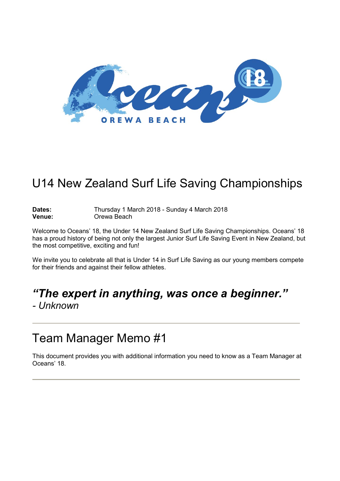

## U14 New Zealand Surf Life Saving Championships

#### Dates: Thursday 1 March 2018 - Sunday 4 March 2018<br> **Venue:** Orewa Beach **Venue:** Orewa Beach

Welcome to Oceans' 18, the Under 14 New Zealand Surf Life Saving Championships. Oceans' 18 has a proud history of being not only the largest Junior Surf Life Saving Event in New Zealand, but the most competitive, exciting and fun!

We invite you to celebrate all that is Under 14 in Surf Life Saving as our young members compete for their friends and against their fellow athletes.

# *"The expert in anything, was once a beginner."*

*- Unknown*

## Team Manager Memo #1

This document provides you with additional information you need to know as a Team Manager at Oceans' 18.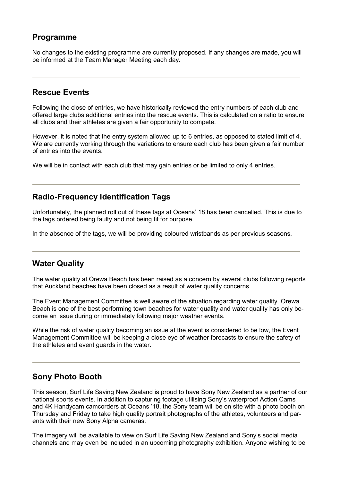### **Programme**

No changes to the existing programme are currently proposed. If any changes are made, you will be informed at the Team Manager Meeting each day.

#### **Rescue Events**

Following the close of entries, we have historically reviewed the entry numbers of each club and offered large clubs additional entries into the rescue events. This is calculated on a ratio to ensure all clubs and their athletes are given a fair opportunity to compete.

However, it is noted that the entry system allowed up to 6 entries, as opposed to stated limit of 4. We are currently working through the variations to ensure each club has been given a fair number of entries into the events.

We will be in contact with each club that may gain entries or be limited to only 4 entries.

#### **Radio-Frequency Identification Tags**

Unfortunately, the planned roll out of these tags at Oceans' 18 has been cancelled. This is due to the tags ordered being faulty and not being fit for purpose.

In the absence of the tags, we will be providing coloured wristbands as per previous seasons.

#### **Water Quality**

The water quality at Orewa Beach has been raised as a concern by several clubs following reports that Auckland beaches have been closed as a result of water quality concerns.

The Event Management Committee is well aware of the situation regarding water quality. Orewa Beach is one of the best performing town beaches for water quality and water quality has only become an issue during or immediately following major weather events.

While the risk of water quality becoming an issue at the event is considered to be low, the Event Management Committee will be keeping a close eye of weather forecasts to ensure the safety of the athletes and event guards in the water.

#### **Sony Photo Booth**

This season, Surf Life Saving New Zealand is proud to have Sony New Zealand as a partner of our national sports events. In addition to capturing footage utilising Sony's waterproof Action Cams and 4K Handycam camcorders at Oceans '18, the Sony team will be on site with a photo booth on Thursday and Friday to take high quality portrait photographs of the athletes, volunteers and parents with their new Sony Alpha cameras.

The imagery will be available to view on Surf Life Saving New Zealand and Sony's social media channels and may even be included in an upcoming photography exhibition. Anyone wishing to be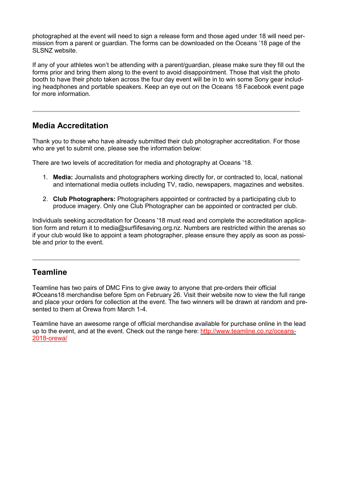photographed at the event will need to sign a release form and those aged under 18 will need permission from a parent or guardian. The forms can be downloaded on the Oceans '18 page of the SLSNZ website.

If any of your athletes won't be attending with a parent/guardian, please make sure they fill out the forms prior and bring them along to the event to avoid disappointment. Those that visit the photo booth to have their photo taken across the four day event will be in to win some Sony gear including headphones and portable speakers. Keep an eye out on the Oceans 18 Facebook event page for more information.

### **Media Accreditation**

Thank you to those who have already submitted their club photographer accreditation. For those who are yet to submit one, please see the information below:

There are two levels of accreditation for media and photography at Oceans '18.

- 1. **Media:** Journalists and photographers working directly for, or contracted to, local, national and international media outlets including TV, radio, newspapers, magazines and websites.
- 2. **Club Photographers:** Photographers appointed or contracted by a participating club to produce imagery. Only one Club Photographer can be appointed or contracted per club.

Individuals seeking accreditation for Oceans '18 must read and complete the accreditation application form and return it to media@surflifesaving.org.nz. Numbers are restricted within the arenas so if your club would like to appoint a team photographer, please ensure they apply as soon as possible and prior to the event.

#### **Teamline**

Teamline has two pairs of DMC Fins to give away to anyone that pre-orders their official #Oceans18 merchandise before 5pm on February 26. Visit their website now to view the full range and place your orders for collection at the event. The two winners will be drawn at random and presented to them at Orewa from March 1-4.

Teamline have an awesome range of official merchandise available for purchase online in the lead up to the event, and at the event. Check out the range here: [http://www.teamline.co.nz/oceans-](http://www.teamline.co.nz/oceans-2018-orewa/)[2018-orewa/](http://www.teamline.co.nz/oceans-2018-orewa/)